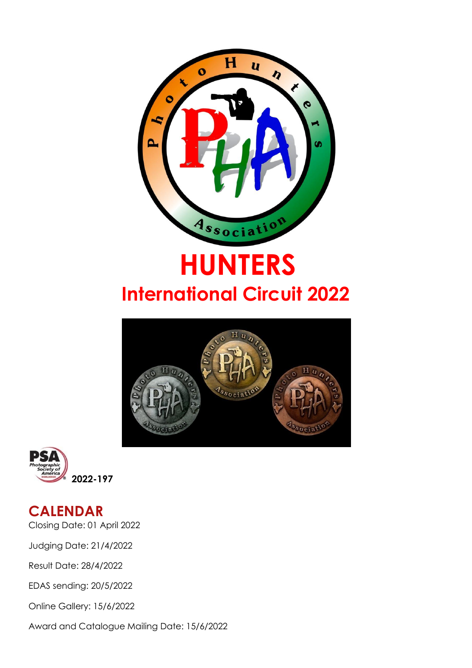

# **HUNTERS International Circuit 2022**





### **CALENDAR**

Closing Date: 01 April 2022

Judging Date: 21/4/2022

Result Date: 28/4/2022

EDAS sending: 20/5/2022

Online Gallery: 15/6/2022

Award and Catalogue Mailing Date: 15/6/2022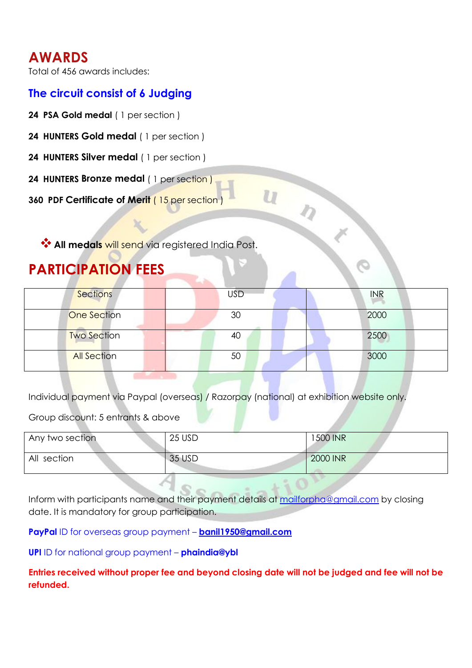### **AWARDS**

Total of 456 awards includes:

### **The circuit consist of 6 Judging**

- **24 PSA Gold medal** ( 1 persection )
- **24 HUNTERS Gold medal** ( 1 per section )
- **24 HUNTERS Silver medal** ( 1 per section )
- **24 HUNTERS Bronze medal** ( 1 per section )

**360 PDF Certificate of Merit** ( 15 per section )

**All medals** will send via registered India Post.

### **PARTICIPATION FEES**

| <b>Sections</b>    | <b>USD</b> | <b>INR</b> |
|--------------------|------------|------------|
| <b>One Section</b> | 30         | 2000       |
| <b>Two Section</b> | 40         | 2500       |
| <b>All Section</b> | 50         | 3000       |

Individual payment via Paypal (overseas) / Razorpay (national) at exhibition website only.

Group discount: 5 entrants & above

| Any two section | 25 USD | 1500 INR |
|-----------------|--------|----------|
| All section     | 35 USD | 2000 INR |

Inform with participants name and their payment details at [mailforpha@gmail.com](mailto:mailforpha@gmail.com) by closing date. It is mandatory for group participation.

**PayPal** ID for overseas group payment – **[banil1950@gmail.com](mailto:banil1950@gmail.com)**

**UPI** ID for national group payment – **phaindia@ybl**

**Entries received without proper fee and beyond closing date will not be judged and fee will not be refunded.**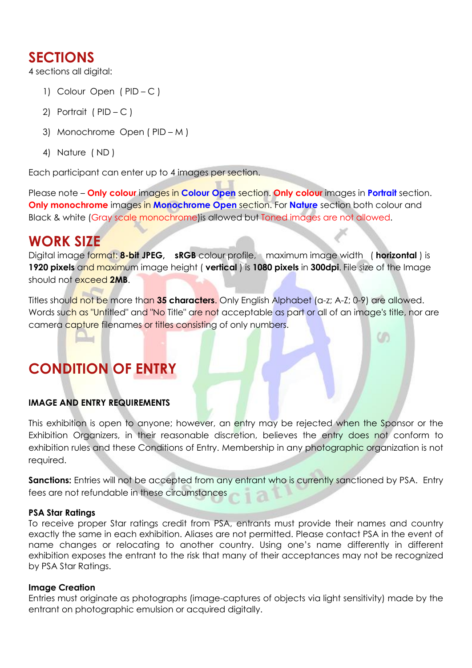### **SECTIONS**

4 sections all digital:

- 1) Colour Open ( PID C )
- 2) Portrait ( $PID C$ )
- 3) Monochrome Open ( PID M )
- 4) Nature ( ND )

Each participant can enter up to 4 images per section.

Please note – **Only colour** images in **Colour Open** section. **Only colour** images in **Portrait** section. **Only monochrome** images in **Monochrome Open** section. For **Nature** section both colour and Black & white (Gray scale monochrome)is allowed but Toned images are not allowed.

### **WORK SIZE**

Digital image format: **8-bit JPEG, sRGB** colour profile, maximum image width ( **horizontal** ) is **1920 pixels** and maximum image height ( **vertical**) is **1080 pixels** in **300dpi**. File size of the Image should not exceed **2MB**.

Titles should not be more than **35 characters**. Only English Alphabet (a-z; A-Z; 0-9) are allowed. Words such as "Untitled" and "No Title" are not acceptable as part or all of an image's title, nor are camera capture filenames or titles consisting of only numbers.

cn

## **CONDITION OF ENTRY**

#### **IMAGE AND ENTRY REQUIREMENTS**

This exhibition is open to anyone; however, an entry may be rejected when the Sponsor or the Exhibition Organizers, in their reasonable discretion, believes the entry does not conform to exhibition rules and these Conditions of Entry. Membership in any photographic organization is not required.

Sanctions: Entries will not be accepted from any entrant who is currently sanctioned by PSA. Entry fees are not refundable in these circumstances

#### **PSA Star Ratings**

To receive proper Star ratings credit from PSA, entrants must provide their names and country exactly the same in each exhibition. Aliases are not permitted. Please contact PSA in the event of name changes or relocating to another country. Using one's name differently in different exhibition exposes the entrant to the risk that many of their acceptances may not be recognized by PSA Star Ratings.

#### **Image Creation**

Entries must originate as photographs (image-captures of objects via light sensitivity) made by the entrant on photographic emulsion or acquired digitally.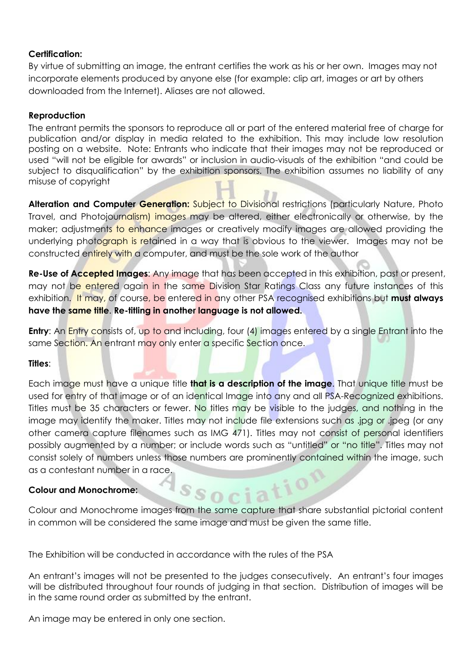#### **Certification:**

By virtue of submitting an image, the entrant certifies the work as his or her own. Images may not incorporate elements produced by anyone else (for example: clip art, images or art by others downloaded from the Internet). Aliases are not allowed.

#### **Reproduction**

The entrant permits the sponsors to reproduce all or part of the entered material free of charge for publication and/or display in media related to the exhibition. This may include low resolution posting on a website. Note: Entrants who indicate that their images may not be reproduced or used "will not be eligible for awards" or inclusion in audio-visuals of the exhibition "and could be subject to disqualification" by the exhibition sponsors. The exhibition assumes no liability of any misuse of copyright

**Alteration and Computer Generation:** Subject to Divisional restrictions (particularly Nature, Photo Travel, and Photojournalism) images may be altered, either electronically or otherwise, by the maker; adjustments to enhance images or creatively modify images are allowed providing the underlying photograph is retained in a way that is obvious to the viewer. Images may not be constructed entirely with a computer, and must be the sole work of the author

**Re-Use of Accepted Images**: Any image that has been accepted in this exhibition, past or present, may not be entered again in the same Division Star Ratings Class any future instances of this exhibition. It may, of course, be entered in any other PSA recognised exhibitions but **must always have the same title**. **Re-titling in another language is not allowed.**

**Entry:** An Entry consists of, up to and including, four (4) images entered by a single Entrant into the same Section. An entrant may only enter a specific Section once.

#### **Titles**:

Each image must have a unique title **that is a description of the image**. That unique title must be used for entry of that image or of an identical Image into any and all PSA-Recognized exhibitions. Titles must be 35 characters or fewer. No titles may be visible to the judges, and nothing in the image may identify the maker. Titles may not include file extensions such as .jpg or .jpeg (or any other camera capture filenames such as IMG 471). Titles may not consist of personal identifiers possibly augmented by a number; or include words such as "untitled" or "no title". Titles may not consist solely of numbers unless those numbers are prominently contained within the image, such as a contestant number in a race.  $10$ 

#### **Colour and Monochrome:**

Colour and Monochrome images from the same capture that share substantial pictorial content in common will be considered the same image and must be given the same title.

The Exhibition will be conducted in accordance with the rules of the PSA

An entrant's images will not be presented to the judges consecutively. An entrant's four images will be distributed throughout four rounds of judging in that section. Distribution of images will be in the same round order as submitted by the entrant.

An image may be entered in only one section.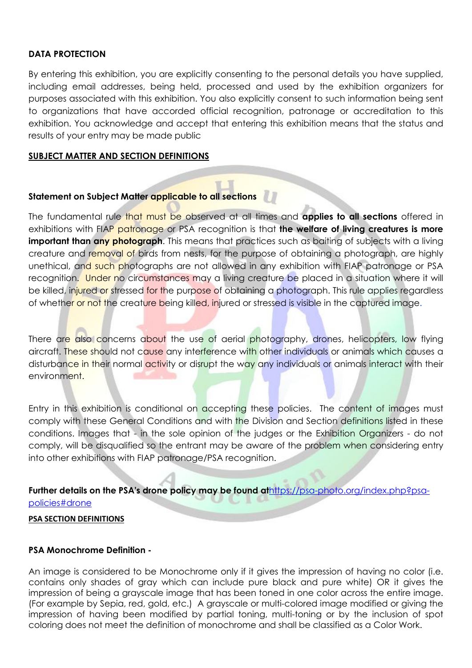#### **DATA PROTECTION**

By entering this exhibition, you are explicitly consenting to the personal details you have supplied, including email addresses, being held, processed and used by the exhibition organizers for purposes associated with this exhibition. You also explicitly consent to such information being sent to organizations that have accorded official recognition, patronage or accreditation to this exhibition. You acknowledge and accept that entering this exhibition means that the status and results of your entry may be made public

#### **SUBJECT MATTER AND SECTION DEFINITIONS**

#### **Statement on Subject Matter applicable to all sections**

The fundamental rule that must be observed at all times and **applies to all sections** offered in exhibitions with FIAP patronage or PSA recognition is that **the welfare of living creatures is more important than any photograph**. This means that practices such as baiting of subjects with a living creature and removal of birds from nests, for the purpose of obtaining a photograph, are highly unethical, and such photographs are not allowed in any exhibition with FIAP patronage or PSA recognition. Under no circumstances may a living creature be placed in a situation where it will be killed, injured or stressed for the purpose of obtaining a photograph. This rule applies regardless of whether or not the creature being killed, injured or stressed is visible in the captured image.

There are also concerns about the use of aerial photography, drones, helicopters, low flying aircraft. These should not cause any interference with other individuals or animals which causes a disturbance in their normal activity or disrupt the way any individuals or animals interact with their environment.

Entry in this exhibition is conditional on accepting these policies. The content of images must comply with these General Conditions and with the Division and Section definitions listed in these conditions. Images that - in the sole opinion of the judges or the Exhibition Organizers - do not comply, will be disqualified so the entrant may be aware of the problem when considering entry into other exhibitions with FIAP patronage/PSA recognition.

**Further details on the PSA's drone policy may be found at**[https://psa-photo.org/index.php?psa](https://psa-photo.org/index.php?psa-policies%23drone) policies#drone

#### **PSA SECTION DEFINITIONS**

#### **PSA Monochrome Definition -**

An image is considered to be Monochrome only if it gives the impression of having no color (i.e. contains only shades of gray which can include pure black and pure white) OR it gives the impression of being a grayscale image that has been toned in one color across the entire image. (For example by Sepia, red, gold, etc.) A grayscale or multi-colored image modified or giving the impression of having been modified by partial toning, multi-toning or by the inclusion of spot coloring does not meet the definition of monochrome and shall be classified as a Color Work.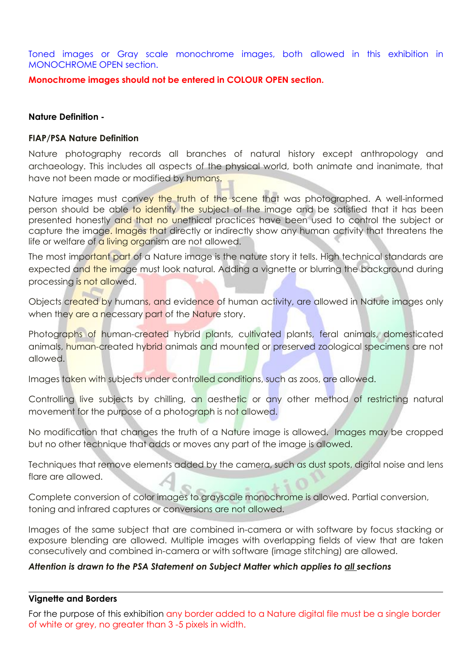Toned images or Gray scale monochrome images, both allowed in this exhibition in MONOCHROME OPEN section.

**Monochrome imagesshould not be entered in COLOUR OPEN section.**

#### **Nature Definition -**

#### **FIAP/PSA Nature Definition**

Nature photography records all branches of natural history except anthropology and archaeology. This includes all aspects of the physical world, both animate and inanimate, that have not been made or modified by humans.

Nature images must convey the truth of the scene that was photographed. A well-informed person should be able to identify the subject of the image and be satisfied that it has been presented honestly and that no unethical practices have been used to control the subject or capture the image. Images that directly or indirectly show any human activity that threatens the life or welfare of a living organism are not allowed.

The most important part of a Nature image is the nature story it tells. High technical standards are expected and the image must look natural. Adding a vignette or blurring the background during processing is not allowed.

Objects created by humans, and evidence of human activity, are allowed in Nature images only when they are a necessary part of the Nature story.

Photographs of human-created hybrid plants, cultivated plants, feral animals, domesticated animals, human-created hybrid animals and mounted or preserved zoological specimens are not allowed.

Images taken with subjects under controlled conditions, such as zoos, are allowed.

Controlling live subjects by chilling, an aesthetic or any other method of restricting natural movement for the purpose of a photograph is not allowed.

No modification that changes the truth of a Nature image is allowed. Images may be cropped but no other technique that adds or moves any part of the image is allowed.

Techniques that remove elements added by the camera, such as dust spots, digital noise and lens flare are allowed.

Complete conversion of color images to grayscale monochrome is allowed. Partial conversion, toning and infrared captures or conversions are not allowed.

Images of the same subject that are combined in-camera or with software by focus stacking or exposure blending are allowed. Multiple images with overlapping fields of view that are taken consecutively and combined in-camera or with software (image stitching) are allowed.

#### *Attention is drawn to the PSA Statement on Subject Matter which applies to all sections*

#### **Vignette and Borders**

For the purpose of this exhibition any border added to a Nature digital file must be a single border of white or grey, no greater than 3 -5 pixels in width.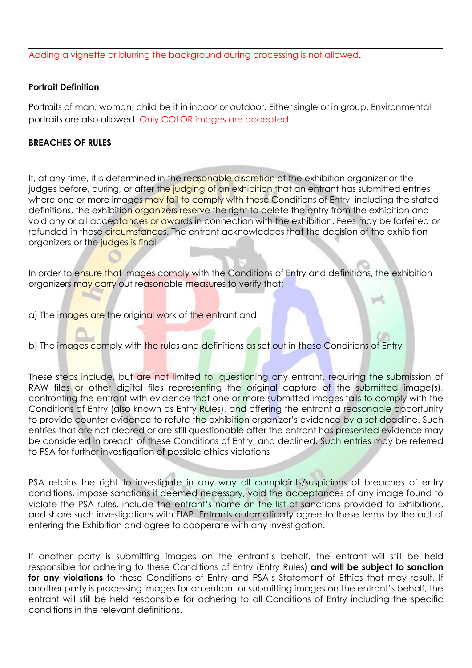Adding a vignette or blurring the background during processing is not allowed.

#### **Portrait Definition**

Portraits of man, woman, child be it in indoor or outdoor. Either single or in group. Environmental portraits are also allowed. Only COLOR images are accepted.

#### **BREACHES OF RULES**

If, at any time, it is determined in the reasonable discretion of the exhibition organizer or the judges before, during, or after the judging of an exhibition that an entrant has submitted entries where one or more images may fail to comply with these Conditions of Entry, including the stated definitions, the exhibition organizers reserve the right to delete the entry from the exhibition and void any or all acceptances or awards in connection with the exhibition. Fees may be forfeited or refunded in these circumstances. The entrant acknowledges that the decision of the exhibition organizers or the judges is final

In order to ensure that images comply with the Conditions of Entry and definitions, the exhibition organizers may carry out reasonable measures to verify that:

a) The images are the original work of the entrant and

b) The images comply with the rules and definitions as set out in these Conditions of Entry

These steps include, but are not limited to, questioning any entrant, requiring the submission of RAW files or other digital files representing the original capture of the submitted image(s), confronting the entrant with evidence that one or more submitted images fails to comply with the Conditions of Entry (also known as Entry Rules), and offering the entrant a reasonable opportunity to provide counter evidence to refute the exhibition organizer's evidence by a set deadline. Such entries that are not cleared or are still questionable after the entrant has presented evidence may be considered in breach of these Conditions of Entry, and declined. Such entries may be referred to PSA for further investigation of possible ethics violations

PSA retains the right to investigate in any way all complaints/suspicions of breaches of entry conditions, impose sanctions if deemed necessary, void the acceptances of any image found to violate the PSA rules, include the entrant's name on the list of sanctions provided to Exhibitions, and share such investigations with FIAP. Entrants automatically agree to these terms by the act of entering the Exhibition and agree to cooperate with any investigation.

If another party is submitting images on the entrant's behalf, the entrant will still be held responsible for adhering to these Conditions of Entry (Entry Rules) **and will be subject to sanction for any violations** to these Conditions of Entry and PSA's Statement of Ethics that may result. If another party is processing images for an entrant or submitting images on the entrant's behalf, the entrant will still be held responsible for adhering to all Conditions of Entry including the specific conditions in the relevant definitions.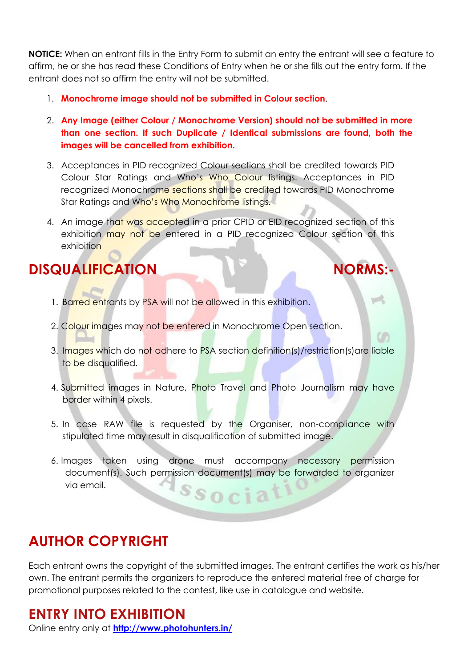**NOTICE:** When an entrant fills in the Entry Form to submit an entry the entrant will see a feature to affirm, he or she has read these Conditions of Entry when he or she fills out the entry form. If the entrant does not so affirm the entry will not be submitted.

- 1. **Monochrome image should not be submitted in Colour section**.
- 2. **Any Image (either Colour / Monochrome Version) should not be submitted inmore than one section. If such Duplicate / Identical submissions are found, both the images will be cancelled from exhibition.**
- 3. Acceptances in PID recognized Colour sections shall be credited towards PID Colour Star Ratings and Who's Who Colour listings. Acceptances in PID recognized Monochrome sections shall be credited towards PID Monochrome Star Ratings and Who's Who Monochrome listings.
- 4. An image that was accepted in a prior CPID or EID recognized section of this exhibition may not be entered in a PID recognized Colour section of this exhibition

### **DISQUALIFICATION NORMS:-**

- 1. Barred entrants by PSA will not be allowed in this exhibition.
- 
- 2. Colour images may not be entered in Monochrome Open section.<br>3. Images which do not adhere to PSA section definition(s)/restriction(s)are liable to be disqualified.
- 4. Submitted images in Nature, Photo Travel and Photo Journalism may have border within 4 pixels.
- 5. In case RAW file is requested by the Organiser, non-compliance with stipulated time may result in disqualification of submitted image.
- 6. Images taken using drone must accompany necessary permission document(s). Such permission document(s) may be forwarded to organizer via email.<br>Ssocial

### **AUTHOR COPYRIGHT**

Each entrant owns the copyright of the submitted images. The entrant certifies the work as his/her own. The entrant permits the organizers to reproduce the entered material free of charge for promotional purposes related to the contest, like use in catalogue and website.

### **ENTRY INTO EXHIBITION**

Online entry only at **<http://www.photohunters.in/>**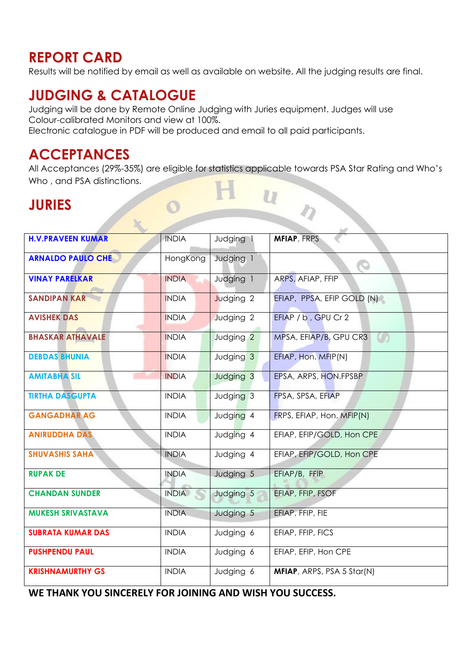### **REPORT CARD**

Results will be notified by email as well as available on website. All the judging results are final.

### **JUDGING & CATALOGUE**

Judging will be done by Remote Online Judging with Juries equipment. Judges will use Colour-calibrated Monitors and view at 100%. Electronic catalogue in PDFwill be produced and email to all paid participants.

### **ACCEPTANCES**

All Acceptances (29%-35%) are eligible for statistics applicable towards PSA Star Rating and Who's Who , and PSA distinctions.  $\frac{u}{u}$ 

### **JURIES**

| <b>H.V.PRAVEEN KUMAR</b> | <b>INDIA</b> | Judging 1            | <b>MFIAP, FRPS</b>           |
|--------------------------|--------------|----------------------|------------------------------|
| <b>ARNALDO PAULO CHE</b> | HongKong     | Judging 1            | O                            |
| <b>VINAY PARELKAR</b>    | <b>INDIA</b> | Judging 1            | ARPS, AFIAP, FFIP            |
| <b>SANDIPAN KAR</b>      | <b>INDIA</b> | Judging 2            | EFIAP, PPSA, EFIP GOLD (N)   |
| <b>AVISHEK DAS</b>       | <b>INDIA</b> | Judging 2            | EFIAP / b, GPU Cr 2          |
| <b>BHASKAR ATHAVALE</b>  | <b>INDIA</b> | Judging <sub>2</sub> | MPSA, EFIAP/B, GPU CR3<br>U) |
| <b>DEBDAS BHUNIA</b>     | <b>INDIA</b> | Judging 3            | EFIAP, Hon. MFIP(N)          |
| <b>AMITABHA SIL</b>      | <b>INDIA</b> | Judging 3            | EPSA, ARPS, HON.FPSBP        |
| <b>TIRTHA DASGUPTA</b>   | <b>INDIA</b> | Judging 3            | FPSA, SPSA, EFIAP            |
| <b>GANGADHAR AG</b>      | <b>INDIA</b> | Judging 4            | FRPS, EFIAP, Hon. MFIP(N)    |
| <b>ANIRUDDHA DAS</b>     | <b>INDIA</b> | Judging 4            | EFIAP, EFIP/GOLD, Hon CPE    |
| <b>SHUVASHIS SAHA</b>    | <b>INDIA</b> | Judging 4            | EFIAP, EFIP/GOLD, Hon CPE    |
| <b>RUPAK DE</b>          | <b>INDIA</b> | Judging 5            | EFIAP/B, FFIP                |
| <b>CHANDAN SUNDER</b>    | <b>INDIA</b> | Judging 5            | EFIAP, FFIP, FSOF            |
| <b>MUKESH SRIVASTAVA</b> | <b>INDIA</b> | Judging 5            | EFIAP, FFIP, FIE             |
| <b>SUBRATA KUMAR DAS</b> | <b>INDIA</b> | Judging 6            | EFIAP, FFIP, FICS            |
| <b>PUSHPENDU PAUL</b>    | <b>INDIA</b> | Judging 6            | EFIAP, EFIP, Hon CPE         |
| <b>KRISHNAMURTHY GS</b>  | <b>INDIA</b> | Judging 6            | MFIAP, ARPS, PSA 5 Star(N)   |

**WE THANK YOU SINCERELY FOR JOINING AND WISH YOU SUCCESS.**